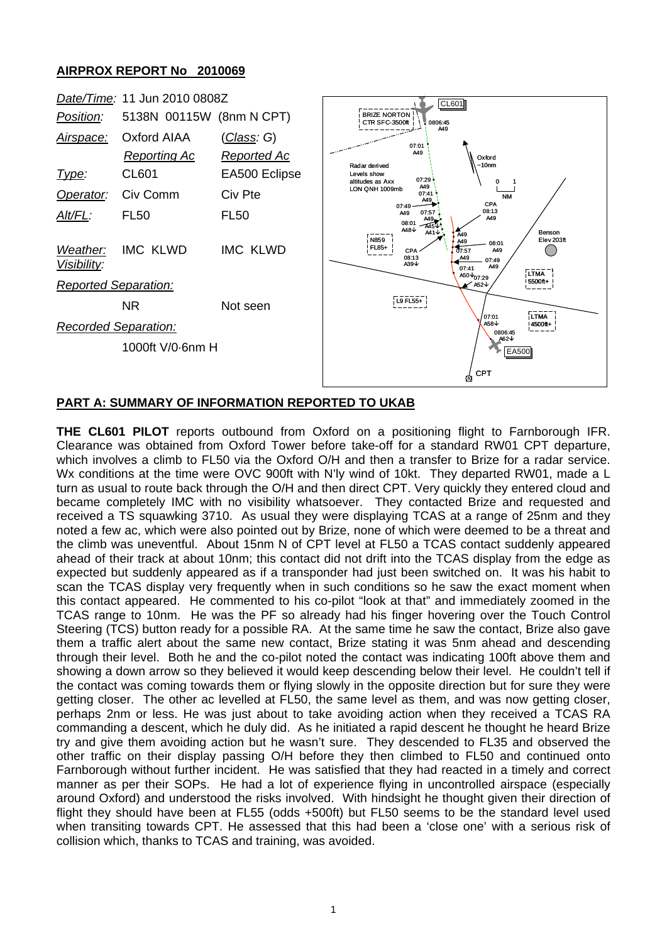## **AIRPROX REPORT No 2010069**



## **PART A: SUMMARY OF INFORMATION REPORTED TO UKAB**

**THE CL601 PILOT** reports outbound from Oxford on a positioning flight to Farnborough IFR. Clearance was obtained from Oxford Tower before take-off for a standard RW01 CPT departure, which involves a climb to FL50 via the Oxford O/H and then a transfer to Brize for a radar service. Wx conditions at the time were OVC 900ft with N'ly wind of 10kt. They departed RW01, made a L turn as usual to route back through the O/H and then direct CPT. Very quickly they entered cloud and became completely IMC with no visibility whatsoever. They contacted Brize and requested and received a TS squawking 3710. As usual they were displaying TCAS at a range of 25nm and they noted a few ac, which were also pointed out by Brize, none of which were deemed to be a threat and the climb was uneventful. About 15nm N of CPT level at FL50 a TCAS contact suddenly appeared ahead of their track at about 10nm; this contact did not drift into the TCAS display from the edge as expected but suddenly appeared as if a transponder had just been switched on. It was his habit to scan the TCAS display very frequently when in such conditions so he saw the exact moment when this contact appeared. He commented to his co-pilot "look at that" and immediately zoomed in the TCAS range to 10nm. He was the PF so already had his finger hovering over the Touch Control Steering (TCS) button ready for a possible RA. At the same time he saw the contact, Brize also gave them a traffic alert about the same new contact, Brize stating it was 5nm ahead and descending through their level. Both he and the co-pilot noted the contact was indicating 100ft above them and showing a down arrow so they believed it would keep descending below their level. He couldn't tell if the contact was coming towards them or flying slowly in the opposite direction but for sure they were getting closer. The other ac levelled at FL50, the same level as them, and was now getting closer, perhaps 2nm or less. He was just about to take avoiding action when they received a TCAS RA commanding a descent, which he duly did. As he initiated a rapid descent he thought he heard Brize try and give them avoiding action but he wasn't sure. They descended to FL35 and observed the other traffic on their display passing O/H before they then climbed to FL50 and continued onto Farnborough without further incident. He was satisfied that they had reacted in a timely and correct manner as per their SOPs. He had a lot of experience flying in uncontrolled airspace (especially around Oxford) and understood the risks involved. With hindsight he thought given their direction of flight they should have been at FL55 (odds +500ft) but FL50 seems to be the standard level used when transiting towards CPT. He assessed that this had been a 'close one' with a serious risk of collision which, thanks to TCAS and training, was avoided.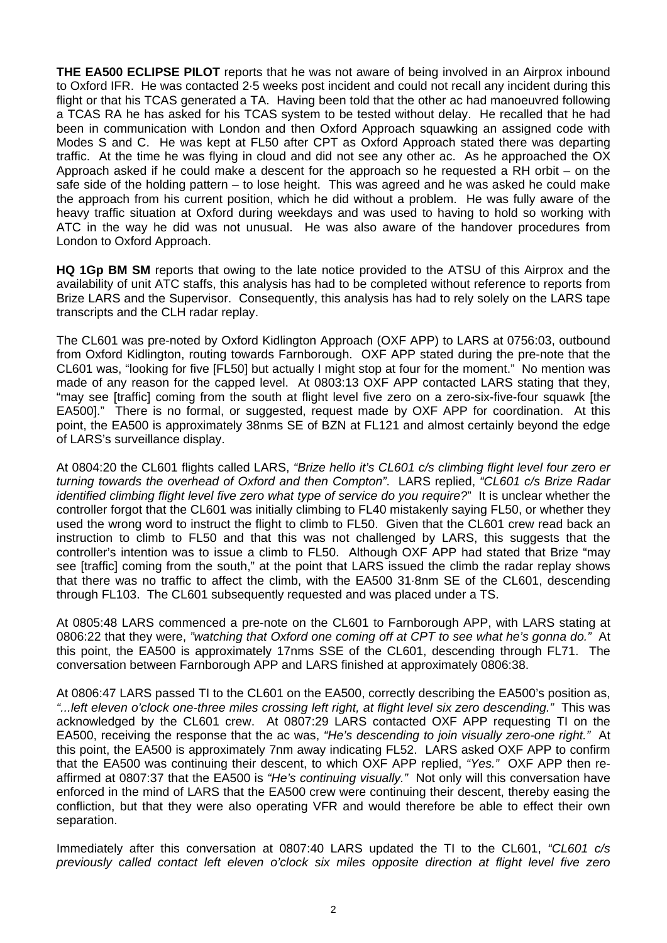**THE EA500 ECLIPSE PILOT** reports that he was not aware of being involved in an Airprox inbound to Oxford IFR. He was contacted 2·5 weeks post incident and could not recall any incident during this flight or that his TCAS generated a TA. Having been told that the other ac had manoeuvred following a TCAS RA he has asked for his TCAS system to be tested without delay. He recalled that he had been in communication with London and then Oxford Approach squawking an assigned code with Modes S and C. He was kept at FL50 after CPT as Oxford Approach stated there was departing traffic. At the time he was flying in cloud and did not see any other ac. As he approached the OX Approach asked if he could make a descent for the approach so he requested a RH orbit – on the safe side of the holding pattern – to lose height. This was agreed and he was asked he could make the approach from his current position, which he did without a problem. He was fully aware of the heavy traffic situation at Oxford during weekdays and was used to having to hold so working with ATC in the way he did was not unusual. He was also aware of the handover procedures from London to Oxford Approach.

**HQ 1Gp BM SM** reports that owing to the late notice provided to the ATSU of this Airprox and the availability of unit ATC staffs, this analysis has had to be completed without reference to reports from Brize LARS and the Supervisor. Consequently, this analysis has had to rely solely on the LARS tape transcripts and the CLH radar replay.

The CL601 was pre-noted by Oxford Kidlington Approach (OXF APP) to LARS at 0756:03, outbound from Oxford Kidlington, routing towards Farnborough. OXF APP stated during the pre-note that the CL601 was, "looking for five [FL50] but actually I might stop at four for the moment." No mention was made of any reason for the capped level. At 0803:13 OXF APP contacted LARS stating that they, "may see [traffic] coming from the south at flight level five zero on a zero-six-five-four squawk [the EA500]." There is no formal, or suggested, request made by OXF APP for coordination. At this point, the EA500 is approximately 38nms SE of BZN at FL121 and almost certainly beyond the edge of LARS's surveillance display.

At 0804:20 the CL601 flights called LARS, *"Brize hello it's CL601 c/s climbing flight level four zero er turning towards the overhead of Oxford and then Compton"*. LARS replied, *"CL601 c/s Brize Radar identified climbing flight level five zero what type of service do you require?*" It is unclear whether the controller forgot that the CL601 was initially climbing to FL40 mistakenly saying FL50, or whether they used the wrong word to instruct the flight to climb to FL50. Given that the CL601 crew read back an instruction to climb to FL50 and that this was not challenged by LARS, this suggests that the controller's intention was to issue a climb to FL50. Although OXF APP had stated that Brize "may see [traffic] coming from the south," at the point that LARS issued the climb the radar replay shows that there was no traffic to affect the climb, with the EA500 31·8nm SE of the CL601, descending through FL103. The CL601 subsequently requested and was placed under a TS.

At 0805:48 LARS commenced a pre-note on the CL601 to Farnborough APP, with LARS stating at 0806:22 that they were, *"watching that Oxford one coming off at CPT to see what he's gonna do."* At this point, the EA500 is approximately 17nms SSE of the CL601, descending through FL71. The conversation between Farnborough APP and LARS finished at approximately 0806:38.

At 0806:47 LARS passed TI to the CL601 on the EA500, correctly describing the EA500's position as, *"...left eleven o'clock one-three miles crossing left right, at flight level six zero descending."* This was acknowledged by the CL601 crew. At 0807:29 LARS contacted OXF APP requesting TI on the EA500, receiving the response that the ac was, *"He's descending to join visually zero-one right."* At this point, the EA500 is approximately 7nm away indicating FL52. LARS asked OXF APP to confirm that the EA500 was continuing their descent, to which OXF APP replied, *"Yes."* OXF APP then reaffirmed at 0807:37 that the EA500 is *"He's continuing visually."* Not only will this conversation have enforced in the mind of LARS that the EA500 crew were continuing their descent, thereby easing the confliction, but that they were also operating VFR and would therefore be able to effect their own separation.

Immediately after this conversation at 0807:40 LARS updated the TI to the CL601, *"CL601 c/s previously called contact left eleven o'clock six miles opposite direction at flight level five zero*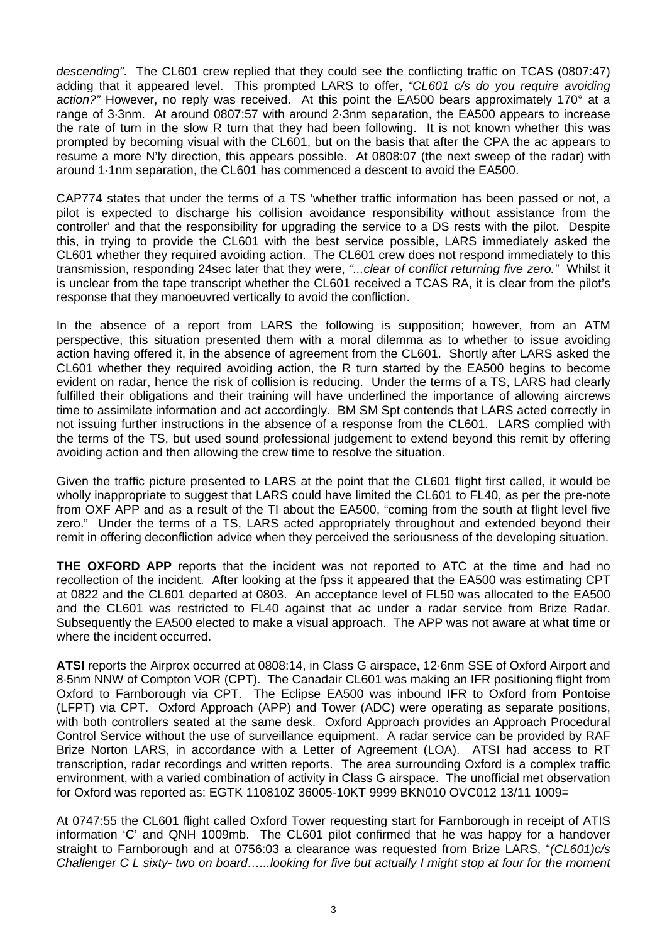*descending"*. The CL601 crew replied that they could see the conflicting traffic on TCAS (0807:47) adding that it appeared level. This prompted LARS to offer, *"CL601 c/s do you require avoiding action?"* However, no reply was received. At this point the EA500 bears approximately 170° at a range of 3·3nm. At around 0807:57 with around 2·3nm separation, the EA500 appears to increase the rate of turn in the slow R turn that they had been following. It is not known whether this was prompted by becoming visual with the CL601, but on the basis that after the CPA the ac appears to resume a more N'ly direction, this appears possible. At 0808:07 (the next sweep of the radar) with around 1·1nm separation, the CL601 has commenced a descent to avoid the EA500.

CAP774 states that under the terms of a TS 'whether traffic information has been passed or not, a pilot is expected to discharge his collision avoidance responsibility without assistance from the controller' and that the responsibility for upgrading the service to a DS rests with the pilot. Despite this, in trying to provide the CL601 with the best service possible, LARS immediately asked the CL601 whether they required avoiding action. The CL601 crew does not respond immediately to this transmission, responding 24sec later that they were, *"...clear of conflict returning five zero."* Whilst it is unclear from the tape transcript whether the CL601 received a TCAS RA, it is clear from the pilot's response that they manoeuvred vertically to avoid the confliction.

In the absence of a report from LARS the following is supposition; however, from an ATM perspective, this situation presented them with a moral dilemma as to whether to issue avoiding action having offered it, in the absence of agreement from the CL601. Shortly after LARS asked the CL601 whether they required avoiding action, the R turn started by the EA500 begins to become evident on radar, hence the risk of collision is reducing. Under the terms of a TS, LARS had clearly fulfilled their obligations and their training will have underlined the importance of allowing aircrews time to assimilate information and act accordingly. BM SM Spt contends that LARS acted correctly in not issuing further instructions in the absence of a response from the CL601. LARS complied with the terms of the TS, but used sound professional judgement to extend beyond this remit by offering avoiding action and then allowing the crew time to resolve the situation.

Given the traffic picture presented to LARS at the point that the CL601 flight first called, it would be wholly inappropriate to suggest that LARS could have limited the CL601 to FL40, as per the pre-note from OXF APP and as a result of the TI about the EA500, "coming from the south at flight level five zero." Under the terms of a TS, LARS acted appropriately throughout and extended beyond their remit in offering deconfliction advice when they perceived the seriousness of the developing situation.

**THE OXFORD APP** reports that the incident was not reported to ATC at the time and had no recollection of the incident. After looking at the fpss it appeared that the EA500 was estimating CPT at 0822 and the CL601 departed at 0803. An acceptance level of FL50 was allocated to the EA500 and the CL601 was restricted to FL40 against that ac under a radar service from Brize Radar. Subsequently the EA500 elected to make a visual approach. The APP was not aware at what time or where the incident occurred.

**ATSI** reports the Airprox occurred at 0808:14, in Class G airspace, 12·6nm SSE of Oxford Airport and 8·5nm NNW of Compton VOR (CPT). The Canadair CL601 was making an IFR positioning flight from Oxford to Farnborough via CPT. The Eclipse EA500 was inbound IFR to Oxford from Pontoise (LFPT) via CPT. Oxford Approach (APP) and Tower (ADC) were operating as separate positions, with both controllers seated at the same desk. Oxford Approach provides an Approach Procedural Control Service without the use of surveillance equipment. A radar service can be provided by RAF Brize Norton LARS, in accordance with a Letter of Agreement (LOA). ATSI had access to RT transcription, radar recordings and written reports. The area surrounding Oxford is a complex traffic environment, with a varied combination of activity in Class G airspace. The unofficial met observation for Oxford was reported as: EGTK 110810Z 36005-10KT 9999 BKN010 OVC012 13/11 1009=

At 0747:55 the CL601 flight called Oxford Tower requesting start for Farnborough in receipt of ATIS information 'C' and QNH 1009mb. The CL601 pilot confirmed that he was happy for a handover straight to Farnborough and at 0756:03 a clearance was requested from Brize LARS, "*(CL601)c/s Challenger C L sixty- two on board…...looking for five but actually I might stop at four for the moment*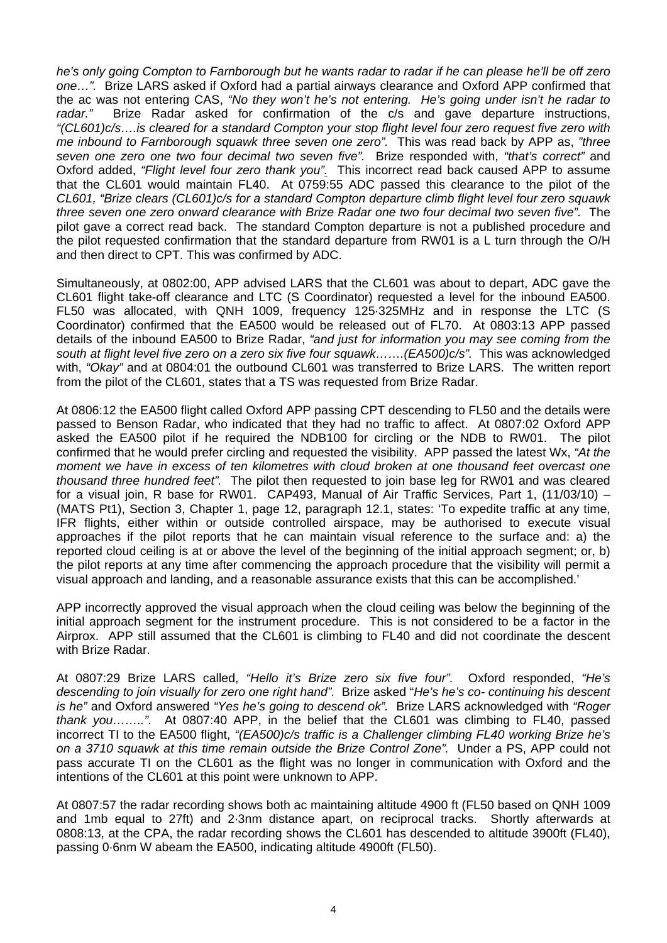*he's only going Compton to Farnborough but he wants radar to radar if he can please he'll be off zero one…".* Brize LARS asked if Oxford had a partial airways clearance and Oxford APP confirmed that the ac was not entering CAS, *"No they won't he's not entering. He's going under isn't he radar to radar."* Brize Radar asked for confirmation of the c/s and gave departure instructions, *"(CL601)c/s….is cleared for a standard Compton your stop flight level four zero request five zero with me inbound to Farnborough squawk three seven one zero".* This was read back by APP as, *"three seven one zero one two four decimal two seven five".* Brize responded with, *"that's correct"* and Oxford added, *"Flight level four zero thank you".* This incorrect read back caused APP to assume that the CL601 would maintain FL40. At 0759:55 ADC passed this clearance to the pilot of the *CL601, "Brize clears (CL601)c/s for a standard Compton departure climb flight level four zero squawk three seven one zero onward clearance with Brize Radar one two four decimal two seven five".* The pilot gave a correct read back. The standard Compton departure is not a published procedure and the pilot requested confirmation that the standard departure from RW01 is a L turn through the O/H and then direct to CPT. This was confirmed by ADC.

Simultaneously, at 0802:00, APP advised LARS that the CL601 was about to depart, ADC gave the CL601 flight take-off clearance and LTC (S Coordinator) requested a level for the inbound EA500. FL50 was allocated, with QNH 1009, frequency 125·325MHz and in response the LTC (S Coordinator) confirmed that the EA500 would be released out of FL70. At 0803:13 APP passed details of the inbound EA500 to Brize Radar, *"and just for information you may see coming from the*  south at flight level five zero on a zero six five four squawk.......(EA500)c/s". This was acknowledged with, *"Okay"* and at 0804:01 the outbound CL601 was transferred to Brize LARS. The written report from the pilot of the CL601, states that a TS was requested from Brize Radar.

At 0806:12 the EA500 flight called Oxford APP passing CPT descending to FL50 and the details were passed to Benson Radar, who indicated that they had no traffic to affect. At 0807:02 Oxford APP asked the EA500 pilot if he required the NDB100 for circling or the NDB to RW01. The pilot confirmed that he would prefer circling and requested the visibility. APP passed the latest Wx, *"At the moment we have in excess of ten kilometres with cloud broken at one thousand feet overcast one thousand three hundred feet".* The pilot then requested to join base leg for RW01 and was cleared for a visual join, R base for RW01. CAP493, Manual of Air Traffic Services, Part 1, (11/03/10) – (MATS Pt1), Section 3, Chapter 1, page 12, paragraph 12.1, states: 'To expedite traffic at any time, IFR flights, either within or outside controlled airspace, may be authorised to execute visual approaches if the pilot reports that he can maintain visual reference to the surface and: a) the reported cloud ceiling is at or above the level of the beginning of the initial approach segment; or, b) the pilot reports at any time after commencing the approach procedure that the visibility will permit a visual approach and landing, and a reasonable assurance exists that this can be accomplished.'

APP incorrectly approved the visual approach when the cloud ceiling was below the beginning of the initial approach segment for the instrument procedure. This is not considered to be a factor in the Airprox. APP still assumed that the CL601 is climbing to FL40 and did not coordinate the descent with Brize Radar.

At 0807:29 Brize LARS called, *"Hello it's Brize zero six five four".* Oxford responded, *"He's descending to join visually for zero one right hand".* Brize asked "*He's he's co- continuing his descent is he"* and Oxford answered *"Yes he's going to descend ok".* Brize LARS acknowledged with *"Roger thank you……..".* At 0807:40 APP, in the belief that the CL601 was climbing to FL40, passed incorrect TI to the EA500 flight, *"(EA500)c/s traffic is a Challenger climbing FL40 working Brize he's on a 3710 squawk at this time remain outside the Brize Control Zone".* Under a PS, APP could not pass accurate TI on the CL601 as the flight was no longer in communication with Oxford and the intentions of the CL601 at this point were unknown to APP.

At 0807:57 the radar recording shows both ac maintaining altitude 4900 ft (FL50 based on QNH 1009 and 1mb equal to 27ft) and 2·3nm distance apart, on reciprocal tracks. Shortly afterwards at 0808:13, at the CPA, the radar recording shows the CL601 has descended to altitude 3900ft (FL40), passing 0·6nm W abeam the EA500, indicating altitude 4900ft (FL50).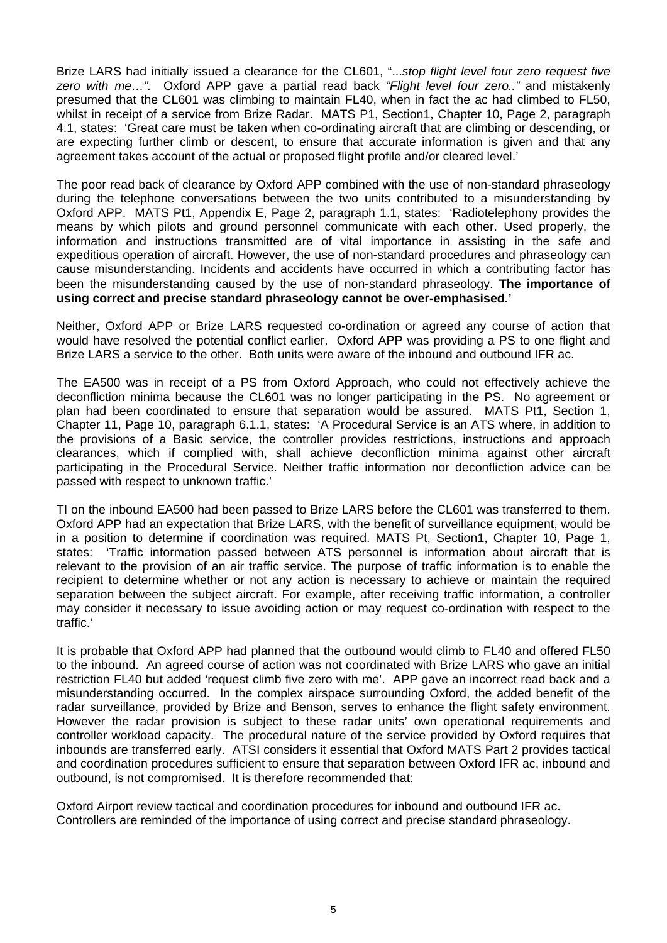Brize LARS had initially issued a clearance for the CL601, "...*stop flight level four zero request five zero with me…".* Oxford APP gave a partial read back *"Flight level four zero.."* and mistakenly presumed that the CL601 was climbing to maintain FL40, when in fact the ac had climbed to FL50, whilst in receipt of a service from Brize Radar. MATS P1, Section1, Chapter 10, Page 2, paragraph 4.1, states: 'Great care must be taken when co-ordinating aircraft that are climbing or descending, or are expecting further climb or descent, to ensure that accurate information is given and that any agreement takes account of the actual or proposed flight profile and/or cleared level.'

The poor read back of clearance by Oxford APP combined with the use of non-standard phraseology during the telephone conversations between the two units contributed to a misunderstanding by Oxford APP. MATS Pt1, Appendix E, Page 2, paragraph 1.1, states: 'Radiotelephony provides the means by which pilots and ground personnel communicate with each other. Used properly, the information and instructions transmitted are of vital importance in assisting in the safe and expeditious operation of aircraft. However, the use of non-standard procedures and phraseology can cause misunderstanding. Incidents and accidents have occurred in which a contributing factor has been the misunderstanding caused by the use of non-standard phraseology. **The importance of using correct and precise standard phraseology cannot be over-emphasised.'** 

Neither, Oxford APP or Brize LARS requested co-ordination or agreed any course of action that would have resolved the potential conflict earlier. Oxford APP was providing a PS to one flight and Brize LARS a service to the other. Both units were aware of the inbound and outbound IFR ac.

The EA500 was in receipt of a PS from Oxford Approach, who could not effectively achieve the deconfliction minima because the CL601 was no longer participating in the PS. No agreement or plan had been coordinated to ensure that separation would be assured. MATS Pt1, Section 1, Chapter 11, Page 10, paragraph 6.1.1, states: 'A Procedural Service is an ATS where, in addition to the provisions of a Basic service, the controller provides restrictions, instructions and approach clearances, which if complied with, shall achieve deconfliction minima against other aircraft participating in the Procedural Service. Neither traffic information nor deconfliction advice can be passed with respect to unknown traffic.'

TI on the inbound EA500 had been passed to Brize LARS before the CL601 was transferred to them. Oxford APP had an expectation that Brize LARS, with the benefit of surveillance equipment, would be in a position to determine if coordination was required. MATS Pt, Section1, Chapter 10, Page 1, states: 'Traffic information passed between ATS personnel is information about aircraft that is relevant to the provision of an air traffic service. The purpose of traffic information is to enable the recipient to determine whether or not any action is necessary to achieve or maintain the required separation between the subject aircraft. For example, after receiving traffic information, a controller may consider it necessary to issue avoiding action or may request co-ordination with respect to the traffic.'

It is probable that Oxford APP had planned that the outbound would climb to FL40 and offered FL50 to the inbound. An agreed course of action was not coordinated with Brize LARS who gave an initial restriction FL40 but added 'request climb five zero with me'. APP gave an incorrect read back and a misunderstanding occurred. In the complex airspace surrounding Oxford, the added benefit of the radar surveillance, provided by Brize and Benson, serves to enhance the flight safety environment. However the radar provision is subject to these radar units' own operational requirements and controller workload capacity. The procedural nature of the service provided by Oxford requires that inbounds are transferred early. ATSI considers it essential that Oxford MATS Part 2 provides tactical and coordination procedures sufficient to ensure that separation between Oxford IFR ac, inbound and outbound, is not compromised. It is therefore recommended that:

Oxford Airport review tactical and coordination procedures for inbound and outbound IFR ac. Controllers are reminded of the importance of using correct and precise standard phraseology.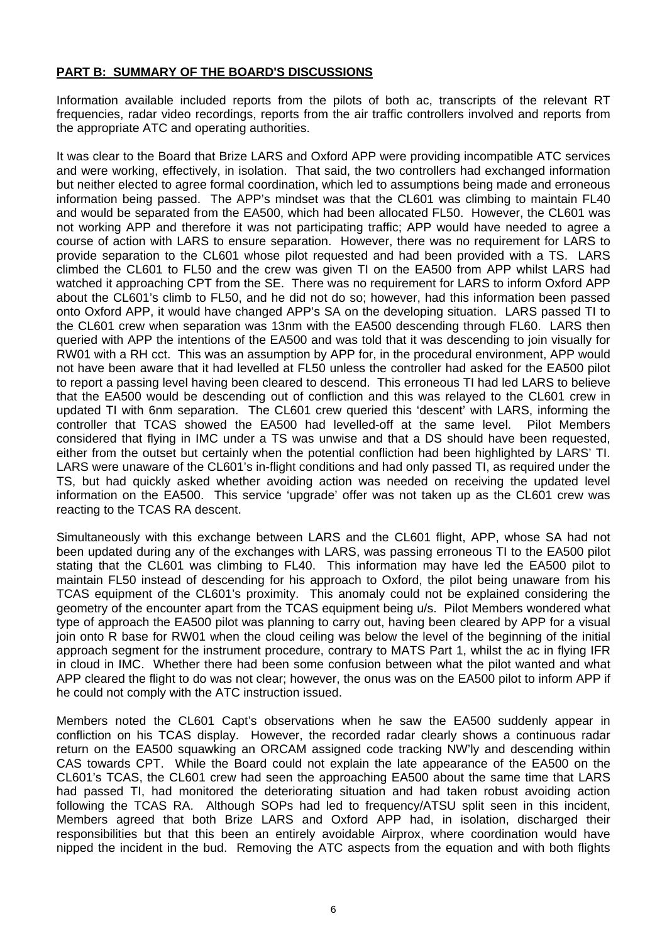## **PART B: SUMMARY OF THE BOARD'S DISCUSSIONS**

Information available included reports from the pilots of both ac, transcripts of the relevant RT frequencies, radar video recordings, reports from the air traffic controllers involved and reports from the appropriate ATC and operating authorities.

It was clear to the Board that Brize LARS and Oxford APP were providing incompatible ATC services and were working, effectively, in isolation. That said, the two controllers had exchanged information but neither elected to agree formal coordination, which led to assumptions being made and erroneous information being passed. The APP's mindset was that the CL601 was climbing to maintain FL40 and would be separated from the EA500, which had been allocated FL50. However, the CL601 was not working APP and therefore it was not participating traffic; APP would have needed to agree a course of action with LARS to ensure separation. However, there was no requirement for LARS to provide separation to the CL601 whose pilot requested and had been provided with a TS. LARS climbed the CL601 to FL50 and the crew was given TI on the EA500 from APP whilst LARS had watched it approaching CPT from the SE. There was no requirement for LARS to inform Oxford APP about the CL601's climb to FL50, and he did not do so; however, had this information been passed onto Oxford APP, it would have changed APP's SA on the developing situation. LARS passed TI to the CL601 crew when separation was 13nm with the EA500 descending through FL60. LARS then queried with APP the intentions of the EA500 and was told that it was descending to join visually for RW01 with a RH cct. This was an assumption by APP for, in the procedural environment, APP would not have been aware that it had levelled at FL50 unless the controller had asked for the EA500 pilot to report a passing level having been cleared to descend. This erroneous TI had led LARS to believe that the EA500 would be descending out of confliction and this was relayed to the CL601 crew in updated TI with 6nm separation. The CL601 crew queried this 'descent' with LARS, informing the controller that TCAS showed the EA500 had levelled-off at the same level. Pilot Members considered that flying in IMC under a TS was unwise and that a DS should have been requested, either from the outset but certainly when the potential confliction had been highlighted by LARS' TI. LARS were unaware of the CL601's in-flight conditions and had only passed TI, as required under the TS, but had quickly asked whether avoiding action was needed on receiving the updated level information on the EA500. This service 'upgrade' offer was not taken up as the CL601 crew was reacting to the TCAS RA descent.

Simultaneously with this exchange between LARS and the CL601 flight, APP, whose SA had not been updated during any of the exchanges with LARS, was passing erroneous TI to the EA500 pilot stating that the CL601 was climbing to FL40. This information may have led the EA500 pilot to maintain FL50 instead of descending for his approach to Oxford, the pilot being unaware from his TCAS equipment of the CL601's proximity. This anomaly could not be explained considering the geometry of the encounter apart from the TCAS equipment being u/s. Pilot Members wondered what type of approach the EA500 pilot was planning to carry out, having been cleared by APP for a visual join onto R base for RW01 when the cloud ceiling was below the level of the beginning of the initial approach segment for the instrument procedure, contrary to MATS Part 1, whilst the ac in flying IFR in cloud in IMC. Whether there had been some confusion between what the pilot wanted and what APP cleared the flight to do was not clear; however, the onus was on the EA500 pilot to inform APP if he could not comply with the ATC instruction issued.

Members noted the CL601 Capt's observations when he saw the EA500 suddenly appear in confliction on his TCAS display. However, the recorded radar clearly shows a continuous radar return on the EA500 squawking an ORCAM assigned code tracking NW'ly and descending within CAS towards CPT. While the Board could not explain the late appearance of the EA500 on the CL601's TCAS, the CL601 crew had seen the approaching EA500 about the same time that LARS had passed TI, had monitored the deteriorating situation and had taken robust avoiding action following the TCAS RA. Although SOPs had led to frequency/ATSU split seen in this incident, Members agreed that both Brize LARS and Oxford APP had, in isolation, discharged their responsibilities but that this been an entirely avoidable Airprox, where coordination would have nipped the incident in the bud. Removing the ATC aspects from the equation and with both flights